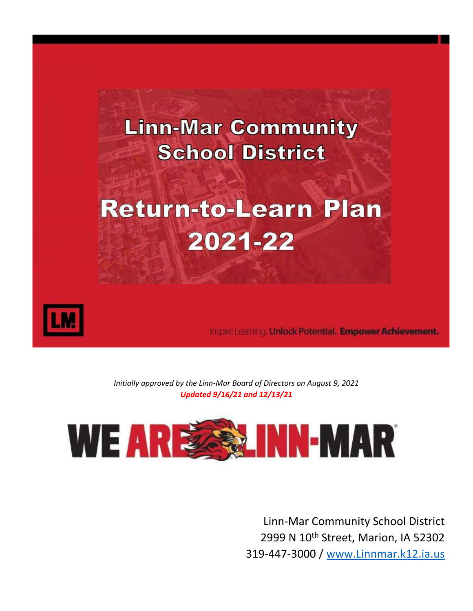# **Linn-Mar Community School District Return-to-Learn Plan** 2021-22



Inspire Learning, Unlock Potential. Empower Achievement.

*Initially approved by the Linn-Mar Board of Directors on August 9, 2021 Updated 9/16/21 and 12/13/21*



Linn-Mar Community School District 2999 N 10<sup>th</sup> Street, Marion, IA 52302 319-447-3000 / [www.Linnmar.k12.ia.us](http://www.linnmar.k12.ia.us/)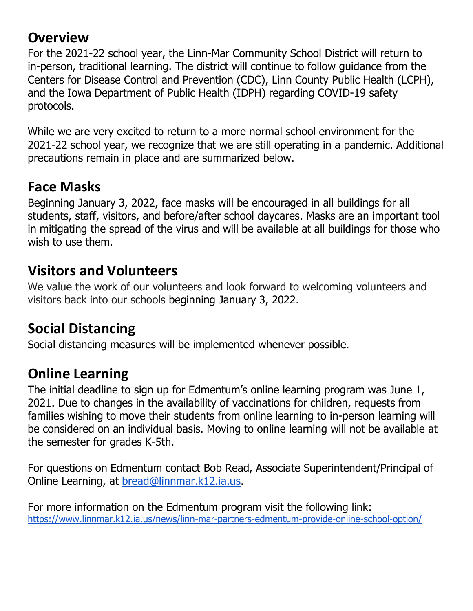#### **Overview**

For the 2021-22 school year, the Linn-Mar Community School District will return to in-person, traditional learning. The district will continue to follow guidance from the Centers for Disease Control and Prevention (CDC), Linn County Public Health (LCPH), and the Iowa Department of Public Health (IDPH) regarding COVID-19 safety protocols.

While we are very excited to return to a more normal school environment for the 2021-22 school year, we recognize that we are still operating in a pandemic. Additional precautions remain in place and are summarized below.

#### **Face Masks**

Beginning January 3, 2022, face masks will be encouraged in all buildings for all students, staff, visitors, and before/after school daycares. Masks are an important tool in mitigating the spread of the virus and will be available at all buildings for those who wish to use them.

#### **Visitors and Volunteers**

We value the work of our volunteers and look forward to welcoming volunteers and visitors back into our schools beginning January 3, 2022.

## **Social Distancing**

Social distancing measures will be implemented whenever possible.

## **Online Learning**

The initial deadline to sign up for Edmentum's online learning program was June 1, 2021. Due to changes in the availability of vaccinations for children, requests from families wishing to move their students from online learning to in-person learning will be considered on an individual basis. Moving to online learning will not be available at the semester for grades K-5th.

For questions on Edmentum contact Bob Read, Associate Superintendent/Principal of Online Learning, at [bread@linnmar.k12.ia.us.](mailto:bread@linnmar.k12.ia.us)

For more information on the Edmentum program visit the following link: <https://www.linnmar.k12.ia.us/news/linn-mar-partners-edmentum-provide-online-school-option/>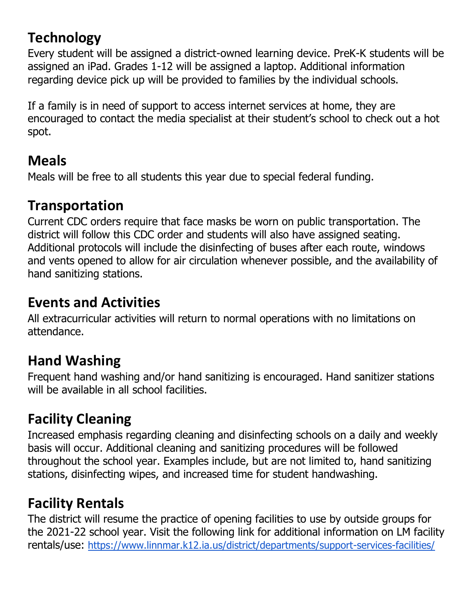# **Technology**

Every student will be assigned a district-owned learning device. PreK-K students will be assigned an iPad. Grades 1-12 will be assigned a laptop. Additional information regarding device pick up will be provided to families by the individual schools.

If a family is in need of support to access internet services at home, they are encouraged to contact the media specialist at their student's school to check out a hot spot.

#### **Meals**

Meals will be free to all students this year due to special federal funding.

## **Transportation**

Current CDC orders require that face masks be worn on public transportation. The district will follow this CDC order and students will also have assigned seating. Additional protocols will include the disinfecting of buses after each route, windows and vents opened to allow for air circulation whenever possible, and the availability of hand sanitizing stations.

## **Events and Activities**

All extracurricular activities will return to normal operations with no limitations on attendance.

# **Hand Washing**

Frequent hand washing and/or hand sanitizing is encouraged. Hand sanitizer stations will be available in all school facilities.

# **Facility Cleaning**

Increased emphasis regarding cleaning and disinfecting schools on a daily and weekly basis will occur. Additional cleaning and sanitizing procedures will be followed throughout the school year. Examples include, but are not limited to, hand sanitizing stations, disinfecting wipes, and increased time for student handwashing.

# **Facility Rentals**

The district will resume the practice of opening facilities to use by outside groups for the 2021-22 school year. Visit the following link for additional information on LM facility rentals/use: <https://www.linnmar.k12.ia.us/district/departments/support-services-facilities/>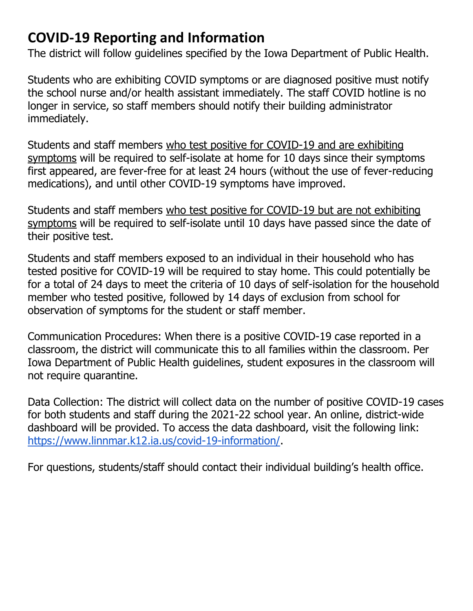#### **COVID-19 Reporting and Information**

The district will follow guidelines specified by the Iowa Department of Public Health.

Students who are exhibiting COVID symptoms or are diagnosed positive must notify the school nurse and/or health assistant immediately. The staff COVID hotline is no longer in service, so staff members should notify their building administrator immediately.

Students and staff members who test positive for COVID-19 and are exhibiting symptoms will be required to self-isolate at home for 10 days since their symptoms first appeared, are fever-free for at least 24 hours (without the use of fever-reducing medications), and until other COVID-19 symptoms have improved.

Students and staff members who test positive for COVID-19 but are not exhibiting symptoms will be required to self-isolate until 10 days have passed since the date of their positive test.

Students and staff members exposed to an individual in their household who has tested positive for COVID-19 will be required to stay home. This could potentially be for a total of 24 days to meet the criteria of 10 days of self-isolation for the household member who tested positive, followed by 14 days of exclusion from school for observation of symptoms for the student or staff member.

Communication Procedures: When there is a positive COVID-19 case reported in a classroom, the district will communicate this to all families within the classroom. Per Iowa Department of Public Health guidelines, student exposures in the classroom will not require quarantine.

Data Collection: The district will collect data on the number of positive COVID-19 cases for both students and staff during the 2021-22 school year. An online, district-wide dashboard will be provided. To access the data dashboard, visit the following link: [https://www.linnmar.k12.ia.us/covid-19-information/.](https://www.linnmar.k12.ia.us/covid-19-information/)

For questions, students/staff should contact their individual building's health office.